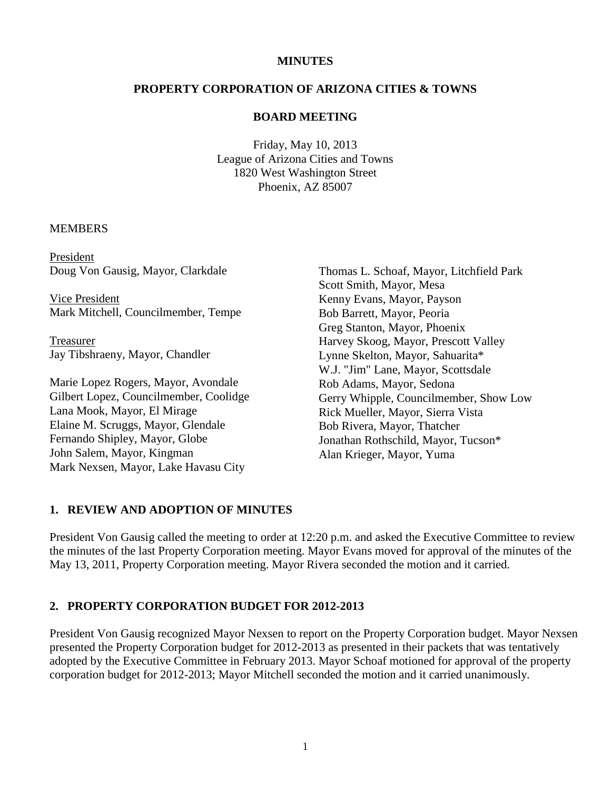### **MINUTES**

# **PROPERTY CORPORATION OF ARIZONA CITIES & TOWNS**

#### **BOARD MEETING**

Friday, May 10, 2013 League of Arizona Cities and Towns 1820 West Washington Street Phoenix, AZ 85007

#### MEMBERS

President Doug Von Gausig, Mayor, Clarkdale

Vice President Mark Mitchell, Councilmember, Tempe

Treasurer Jay Tibshraeny, Mayor, Chandler

Marie Lopez Rogers, Mayor, Avondale Gilbert Lopez, Councilmember, Coolidge Lana Mook, Mayor, El Mirage Elaine M. Scruggs, Mayor, Glendale Fernando Shipley, Mayor, Globe John Salem, Mayor, Kingman Mark Nexsen, Mayor, Lake Havasu City

Thomas L. Schoaf, Mayor, Litchfield Park Scott Smith, Mayor, Mesa Kenny Evans, Mayor, Payson Bob Barrett, Mayor, Peoria Greg Stanton, Mayor, Phoenix Harvey Skoog, Mayor, Prescott Valley Lynne Skelton, Mayor, Sahuarita\* W.J. "Jim" Lane, Mayor, Scottsdale Rob Adams, Mayor, Sedona Gerry Whipple, Councilmember, Show Low Rick Mueller, Mayor, Sierra Vista Bob Rivera, Mayor, Thatcher Jonathan Rothschild, Mayor, Tucson\* Alan Krieger, Mayor, Yuma

### **1. REVIEW AND ADOPTION OF MINUTES**

President Von Gausig called the meeting to order at 12:20 p.m. and asked the Executive Committee to review the minutes of the last Property Corporation meeting. Mayor Evans moved for approval of the minutes of the May 13, 2011, Property Corporation meeting. Mayor Rivera seconded the motion and it carried.

#### **2. PROPERTY CORPORATION BUDGET FOR 2012-2013**

President Von Gausig recognized Mayor Nexsen to report on the Property Corporation budget. Mayor Nexsen presented the Property Corporation budget for 2012-2013 as presented in their packets that was tentatively adopted by the Executive Committee in February 2013. Mayor Schoaf motioned for approval of the property corporation budget for 2012-2013; Mayor Mitchell seconded the motion and it carried unanimously.